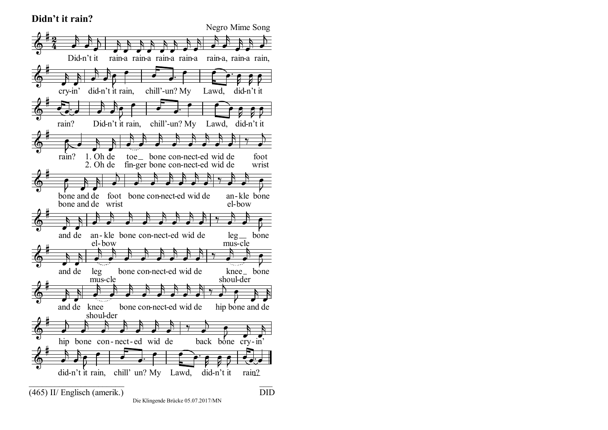## **Didn't it rain?**



Die Klingende Brücke 05.07.2017/MN